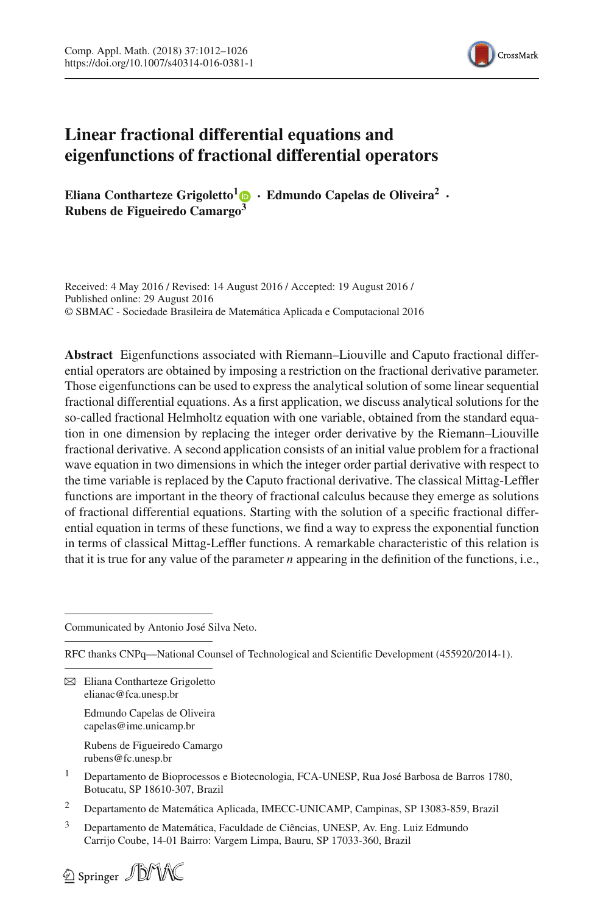

# **Linear fractional differential equations and eigenfunctions of fractional differential operators**

**Eliana Contharteze Grigoletto<sup>[1](http://orcid.org/0000-0003-4336-5387)</sup>**  $\bullet$  **· <b>Edmundo Capelas de Oliveira<sup>2</sup>** · **Rubens de Figueiredo Camargo<sup>3</sup>**

Received: 4 May 2016 / Revised: 14 August 2016 / Accepted: 19 August 2016 / Published online: 29 August 2016 © SBMAC - Sociedade Brasileira de Matemática Aplicada e Computacional 2016

**Abstract** Eigenfunctions associated with Riemann–Liouville and Caputo fractional differential operators are obtained by imposing a restriction on the fractional derivative parameter. Those eigenfunctions can be used to express the analytical solution of some linear sequential fractional differential equations. As a first application, we discuss analytical solutions for the so-called fractional Helmholtz equation with one variable, obtained from the standard equation in one dimension by replacing the integer order derivative by the Riemann–Liouville fractional derivative. A second application consists of an initial value problem for a fractional wave equation in two dimensions in which the integer order partial derivative with respect to the time variable is replaced by the Caputo fractional derivative. The classical Mittag-Leffler functions are important in the theory of fractional calculus because they emerge as solutions of fractional differential equations. Starting with the solution of a specific fractional differential equation in terms of these functions, we find a way to express the exponential function in terms of classical Mittag-Leffler functions. A remarkable characteristic of this relation is that it is true for any value of the parameter *n* appearing in the definition of the functions, i.e.,

Communicated by Antonio José Silva Neto.

RFC thanks CNPq—National Counsel of Technological and Scientific Development (455920/2014-1).

 $\boxtimes$  Eliana Contharteze Grigoletto elianac@fca.unesp.br

> Edmundo Capelas de Oliveira capelas@ime.unicamp.br

Rubens de Figueiredo Camargo rubens@fc.unesp.br

- <sup>1</sup> Departamento de Bioprocessos e Biotecnologia, FCA-UNESP, Rua José Barbosa de Barros 1780, Botucatu, SP 18610-307, Brazil
- <sup>2</sup> Departamento de Matemática Aplicada, IMECC-UNICAMP, Campinas, SP 13083-859, Brazil
- <sup>3</sup> Departamento de Matemática, Faculdade de Ciências, UNESP, Av. Eng. Luiz Edmundo Carrijo Coube, 14-01 Bairro: Vargem Limpa, Bauru, SP 17033-360, Brazil

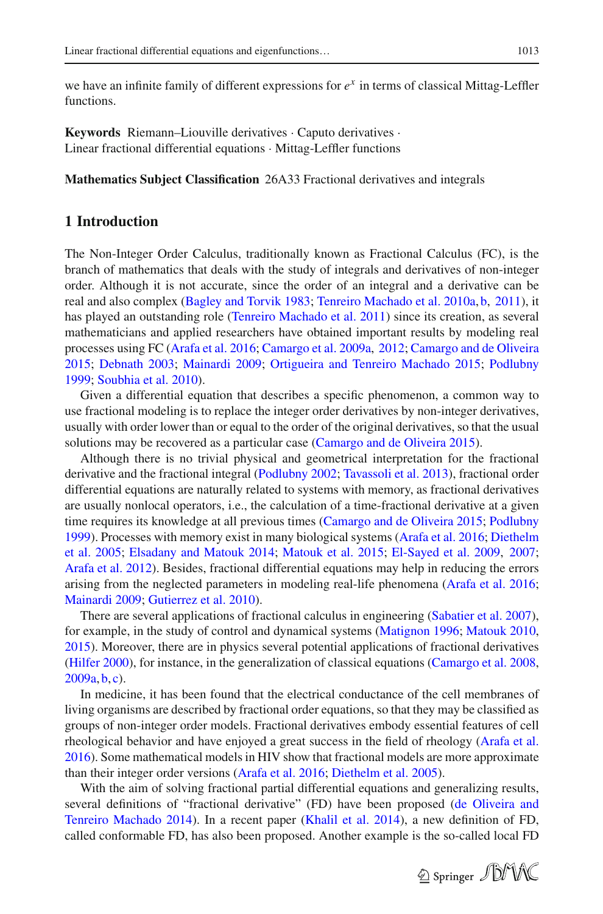we have an infinite family of different expressions for  $e^x$  in terms of classical Mittag-Leffler functions.

**Keywords** Riemann–Liouville derivatives · Caputo derivatives · Linear fractional differential equations · Mittag-Leffler functions

**Mathematics Subject Classification** 26A33 Fractional derivatives and integrals

## **1 Introduction**

The Non-Integer Order Calculus, traditionally known as Fractional Calculus (FC), is the branch of mathematics that deals with the study of integrals and derivatives of non-integer order. Although it is not accurate, since the order of an integral and a derivative can be real and also complex [\(Bagley and Torvik 1983](#page-12-0); [Tenreiro Machado et al. 2010a,](#page-14-0) [b](#page-14-1), [2011\)](#page-14-2), it has played an outstanding role [\(Tenreiro Machado et al. 2011](#page-14-2)) since its creation, as several mathematicians and applied researchers have obtained important results by modeling real processes using FC [\(Arafa et al. 2016;](#page-12-1) [Camargo et al. 2009a,](#page-12-2) [2012;](#page-12-3) [Camargo and de Oliveira](#page-12-4) [2015](#page-12-4); [Debnath 2003](#page-13-0); [Mainardi 2009;](#page-13-1) [Ortigueira and Tenreiro Machado 2015;](#page-13-2) [Podlubny](#page-13-3) [1999](#page-13-3); [Soubhia et al. 2010](#page-13-4)).

Given a differential equation that describes a specific phenomenon, a common way to use fractional modeling is to replace the integer order derivatives by non-integer derivatives, usually with order lower than or equal to the order of the original derivatives, so that the usual solutions may be recovered as a particular case [\(Camargo and de Oliveira 2015\)](#page-12-4).

Although there is no trivial physical and geometrical interpretation for the fractional derivative and the fractional integral [\(Podlubny 2002;](#page-13-5) [Tavassoli et al. 2013\)](#page-14-3), fractional order differential equations are naturally related to systems with memory, as fractional derivatives are usually nonlocal operators, i.e., the calculation of a time-fractional derivative at a given time requires its knowledge at all previous times [\(Camargo and de Oliveira 2015;](#page-12-4) [Podlubny](#page-13-3) [1999](#page-13-3)[\).](#page-13-6) [Processes](#page-13-6) [with](#page-13-6) [memory](#page-13-6) [exist](#page-13-6) [in](#page-13-6) [many](#page-13-6) [biological](#page-13-6) [systems](#page-13-6) [\(Arafa et al. 2016](#page-12-1)[;](#page-13-6) Diethelm et al. [2005](#page-13-6); [Elsadany and Matouk 2014](#page-13-7); [Matouk et al. 2015;](#page-13-8) [El-Sayed et al. 2009,](#page-13-9) [2007](#page-13-10); [Arafa et al. 2012\)](#page-12-5). Besides, fractional differential equations may help in reducing the errors arising from the neglected parameters in modeling real-life phenomena [\(Arafa et al. 2016](#page-12-1); [Mainardi 2009](#page-13-1); [Gutierrez et al. 2010\)](#page-13-11).

There are several applications of fractional calculus in engineering [\(Sabatier et al. 2007\)](#page-13-12), for example, in the study of control and dynamical systems [\(Matignon 1996;](#page-13-13) [Matouk 2010,](#page-13-14) [2015](#page-13-15)). Moreover, there are in physics several potential applications of fractional derivatives [\(Hilfer 2000\)](#page-13-16), for instance, in the generalization of classical equations [\(Camargo et al. 2008,](#page-12-6)  $2009a, b, c$  $2009a, b, c$  $2009a, b, c$  $2009a, b, c$  $2009a, b, c$ .

In medicine, it has been found that the electrical conductance of the cell membranes of living organisms are described by fractional order equations, so that they may be classified as groups of non-integer order models. Fractional derivatives embody essential features of cell rheological behavior and have enjoyed a great success in the field of rheology [\(Arafa et al.](#page-12-1) [2016](#page-12-1)). Some mathematical models in HIV show that fractional models are more approximate than their integer order versions [\(Arafa et al. 2016;](#page-12-1) [Diethelm et al. 2005](#page-13-6)).

With the aim of solving fractional partial differential equations and generalizing results, several definitions [of](#page-12-9) ["fractional](#page-12-9) [derivative"](#page-12-9) [\(FD\)](#page-12-9) [have](#page-12-9) [been](#page-12-9) [proposed](#page-12-9) [\(](#page-12-9)de Oliveira and Tenreiro Machado [2014](#page-12-9)). In a recent paper [\(Khalil et al. 2014\)](#page-13-17), a new definition of FD, called conformable FD, has also been proposed. Another example is the so-called local FD

2 Springer JDMX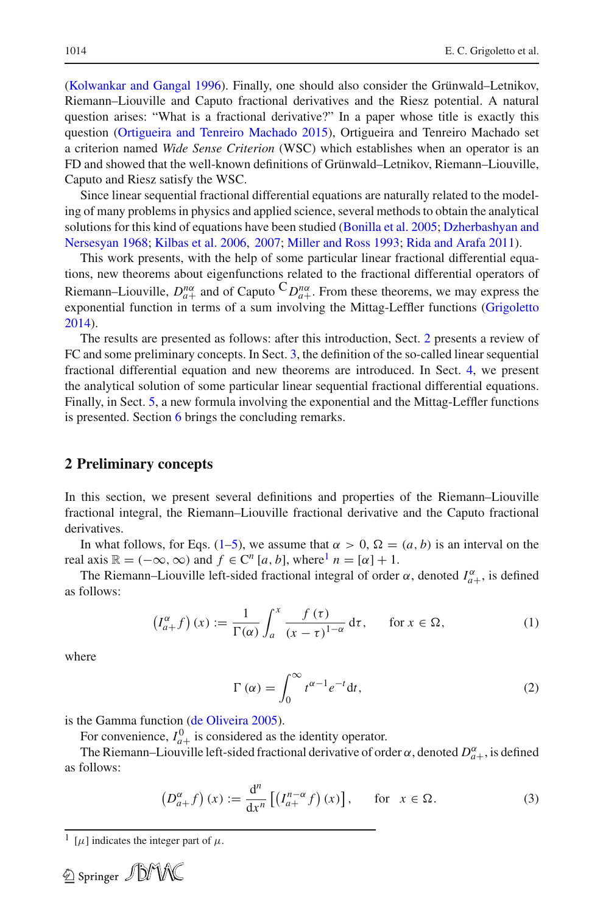[\(Kolwankar and Gangal 1996](#page-13-18)). Finally, one should also consider the Grünwald–Letnikov, Riemann–Liouville and Caputo fractional derivatives and the Riesz potential. A natural question arises: "What is a fractional derivative?" In a paper whose title is exactly this question [\(Ortigueira and Tenreiro Machado 2015](#page-13-2)), Ortigueira and Tenreiro Machado set a criterion named *Wide Sense Criterion* (WSC) which establishes when an operator is an FD and showed that the well-known definitions of Grünwald–Letnikov, Riemann–Liouville, Caputo and Riesz satisfy the WSC.

Since linear sequential fractional differential equations are naturally related to the modeling of many problems in physics and applied science, several methods to obtain the analytical solutions f[or](#page-13-19) [this](#page-13-19) [kind](#page-13-19) [of](#page-13-19) [equations](#page-13-19) [have](#page-13-19) [been](#page-13-19) [studied](#page-13-19) [\(Bonilla et al. 2005](#page-12-10)[;](#page-13-19) Dzherbashyan and Nersesyan [1968;](#page-13-19) [Kilbas et al. 2006,](#page-13-20) [2007;](#page-13-21) [Miller and Ross 1993](#page-13-22); [Rida and Arafa 2011](#page-13-23)).

This work presents, with the help of some particular linear fractional differential equations, new theorems about eigenfunctions related to the fractional differential operators of Riemann–Liouville,  $D_{a+}^{n\alpha}$  and of Caputo  ${}^C D_{a+}^{n\alpha}$ . From these theorems, we may express the exponential function in terms of a sum involving the Mittag-Leffler functions [\(Grigoletto](#page-13-24) [2014](#page-13-24)).

The results are presented as follows: after this introduction, Sect. [2](#page-2-0) presents a review of FC and some preliminary concepts. In Sect. [3,](#page-4-0) the definition of the so-called linear sequential fractional differential equation and new theorems are introduced. In Sect. [4,](#page-8-0) we present the analytical solution of some particular linear sequential fractional differential equations. Finally, in Sect. [5,](#page-10-0) a new formula involving the exponential and the Mittag-Leffler functions is presented. Section [6](#page-12-11) brings the concluding remarks.

#### <span id="page-2-0"></span>**2 Preliminary concepts**

In this section, we present several definitions and properties of the Riemann–Liouville fractional integral, the Riemann–Liouville fractional derivative and the Caputo fractional derivatives.

In what follows, for Eqs. [\(1–](#page-2-1)[5\)](#page-3-0), we assume that  $\alpha > 0$ ,  $\Omega = (a, b)$  is an interval on the real axis  $\mathbb{R} = (-\infty, \infty)$  and  $f \in \mathbb{C}^n$  [a, b], where<sup>[1](#page-2-2)</sup>  $n = [\alpha] + 1$ .

The Riemann–Liouville left-sided fractional integral of order  $\alpha$ , denoted  $I_{a+}^{\alpha}$ , is defined as follows:

$$
\left(I_{a+}^{\alpha}f\right)(x) := \frac{1}{\Gamma(\alpha)} \int_{a}^{x} \frac{f(\tau)}{(x-\tau)^{1-\alpha}} d\tau, \quad \text{for } x \in \Omega,
$$
 (1)

<span id="page-2-1"></span>where

$$
\Gamma(\alpha) = \int_0^\infty t^{\alpha - 1} e^{-t} dt,\tag{2}
$$

is the Gamma function [\(de Oliveira 2005](#page-12-12)).

For convenience,  $I_{a+}^0$  is considered as the identity operator.

The Riemann–Liouville left-sided fractional derivative of order  $\alpha$ , denoted  $D_{a+}^{\alpha}$ , is defined as follows:

$$
\left(D_{a+}^{\alpha}f\right)(x) := \frac{d^n}{dx^n} \left[ \left(I_{a+}^{n-\alpha}f\right)(x) \right], \quad \text{for } x \in \Omega. \tag{3}
$$

<span id="page-2-3"></span><span id="page-2-2"></span><sup>&</sup>lt;sup>1</sup> [ $\mu$ ] indicates the integer part of  $\mu$ .

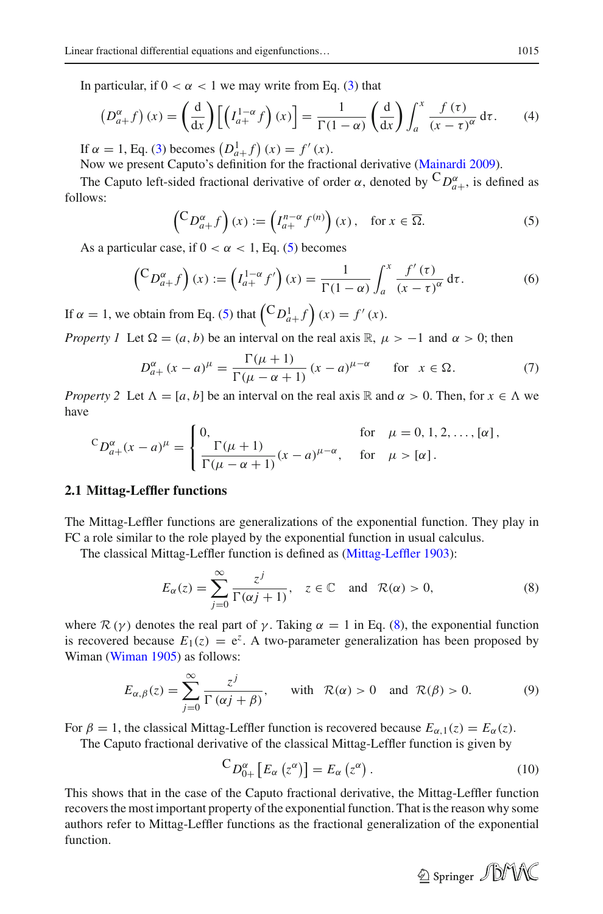In particular, if  $0 < \alpha < 1$  we may write from Eq. [\(3\)](#page-2-3) that

$$
\left(D_{a+}^{\alpha}f\right)(x) = \left(\frac{d}{dx}\right)\left[\left(I_{a+}^{1-\alpha}f\right)(x)\right] = \frac{1}{\Gamma(1-\alpha)}\left(\frac{d}{dx}\right)\int_{a}^{x}\frac{f(\tau)}{(x-\tau)^{\alpha}}d\tau.
$$
 (4)

If  $\alpha = 1$ , Eq. [\(3\)](#page-2-3) becomes  $(D_{a}^{1} + f)(x) = f'(x)$ .

Now we present Caputo's definition for the fractional derivative [\(Mainardi 2009](#page-13-1)).

The Caputo left-sided fractional derivative of order  $\alpha$ , denoted by  ${}^CD_{a+}^{\alpha}$ , is defined as follows:

<span id="page-3-4"></span>
$$
\left(\begin{matrix} C D_{a+}^{\alpha} f \end{matrix}\right)(x) := \left(I_{a+}^{n-\alpha} f^{(n)}\right)(x), \quad \text{for } x \in \overline{\Omega}.
$$
 (5)

<span id="page-3-0"></span>As a particular case, if  $0 < \alpha < 1$ , Eq. [\(5\)](#page-3-0) becomes

$$
\left(\begin{matrix} C_{D_{a+}^{\alpha}} f \end{matrix}\right)(x) := \left(I_{a+}^{1-\alpha} f'\right)(x) = \frac{1}{\Gamma(1-\alpha)} \int_{a}^{x} \frac{f'(t)}{(x-t)^{\alpha}} \, \mathrm{d}\tau. \tag{6}
$$

If  $\alpha = 1$ , we obtain from Eq. [\(5\)](#page-3-0) that  $\left(\begin{matrix} C D_{a+}^1 f \end{matrix}\right)(x) = f'(x)$ .

*Property 1* Let  $\Omega = (a, b)$  be an interval on the real axis R,  $\mu > -1$  and  $\alpha > 0$ ; then

$$
D_{a+}^{\alpha}(x-a)^{\mu} = \frac{\Gamma(\mu+1)}{\Gamma(\mu-\alpha+1)} (x-a)^{\mu-\alpha} \quad \text{for } x \in \Omega.
$$
 (7)

<span id="page-3-5"></span><span id="page-3-3"></span>*Property 2* Let  $\Lambda = [a, b]$  be an interval on the real axis R and  $\alpha > 0$ . Then, for  $x \in \Lambda$  we have

$$
{}^{C}D_{a+}^{\alpha}(x-a)^{\mu} = \begin{cases} 0, & \text{for } \mu = 0, 1, 2, \dots, [\alpha], \\ \frac{\Gamma(\mu+1)}{\Gamma(\mu-\alpha+1)}(x-a)^{\mu-\alpha}, & \text{for } \mu > [\alpha]. \end{cases}
$$

#### **2.1 Mittag-Leffler functions**

The Mittag-Leffler functions are generalizations of the exponential function. They play in FC a role similar to the role played by the exponential function in usual calculus.

The classical Mittag-Leffler function is defined as [\(Mittag-Leffler 1903\)](#page-13-25):

$$
E_{\alpha}(z) = \sum_{j=0}^{\infty} \frac{z^{j}}{\Gamma(\alpha j + 1)}, \quad z \in \mathbb{C} \quad \text{and} \quad \mathcal{R}(\alpha) > 0,
$$
 (8)

<span id="page-3-1"></span>where  $\mathcal{R}(\gamma)$  denotes the real part of  $\gamma$ . Taking  $\alpha = 1$  in Eq. [\(8\)](#page-3-1), the exponential function is recovered because  $E_1(z) = e^z$ . A two-parameter generalization has been proposed by Wiman [\(Wiman 1905\)](#page-14-4) as follows:

$$
E_{\alpha,\beta}(z) = \sum_{j=0}^{\infty} \frac{z^j}{\Gamma(\alpha j + \beta)}, \quad \text{with} \quad \mathcal{R}(\alpha) > 0 \quad \text{and} \quad \mathcal{R}(\beta) > 0. \tag{9}
$$

<span id="page-3-2"></span>For  $\beta = 1$ , the classical Mittag-Leffler function is recovered because  $E_{\alpha,1}(z) = E_{\alpha}(z)$ .

The Caputo fractional derivative of the classical Mittag-Leffler function is given by

$$
{}^{C}D_{0+}^{\alpha}[E_{\alpha}(z^{\alpha})] = E_{\alpha}(z^{\alpha}). \qquad (10)
$$

This shows that in the case of the Caputo fractional derivative, the Mittag-Leffler function recovers the most important property of the exponential function. That is the reason why some authors refer to Mittag-Leffler functions as the fractional generalization of the exponential function.

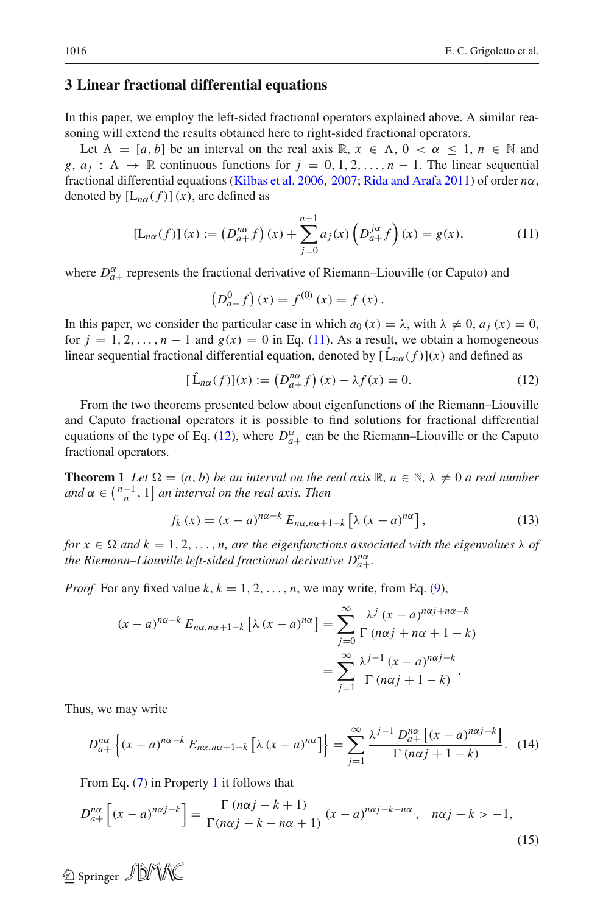### <span id="page-4-0"></span>**3 Linear fractional differential equations**

In this paper, we employ the left-sided fractional operators explained above. A similar reasoning will extend the results obtained here to right-sided fractional operators.

Let  $\Lambda = [a, b]$  be an interval on the real axis  $\mathbb{R}, x \in \Lambda, 0 < \alpha \leq 1, n \in \mathbb{N}$  and *g*,  $a_j : \Lambda \to \mathbb{R}$  continuous functions for  $j = 0, 1, 2, \ldots, n-1$ . The linear sequential fractional differential equations [\(Kilbas et al. 2006](#page-13-20), [2007;](#page-13-21) [Rida and Arafa 2011\)](#page-13-23) of order *n*α, denoted by  $[L_{n\alpha}(f)](x)$ , are defined as

$$
[L_{n\alpha}(f)](x) := (D_{a+}^{n\alpha} f)(x) + \sum_{j=0}^{n-1} a_j(x) (D_{a+}^{j\alpha} f)(x) = g(x),
$$
 (11)

<span id="page-4-1"></span>where  $D_{a+}^{\alpha}$  represents the fractional derivative of Riemann–Liouville (or Caputo) and

$$
(D_{a+}^0 f)(x) = f^{(0)}(x) = f(x).
$$

In this paper, we consider the particular case in which  $a_0(x) = \lambda$ , with  $\lambda \neq 0$ ,  $a_i(x) = 0$ , for  $j = 1, 2, \ldots, n - 1$  and  $g(x) = 0$  in Eq. [\(11\)](#page-4-1). As a result, we obtain a homogeneous linear sequential fractional differential equation, denoted by  $[L_{n\alpha}(f)](x)$  and defined as

$$
[\hat{L}_{n\alpha}(f)](x) := (D_{a+}^{n\alpha} f)(x) - \lambda f(x) = 0.
$$
 (12)

<span id="page-4-2"></span>From the two theorems presented below about eigenfunctions of the Riemann–Liouville and Caputo fractional operators it is possible to find solutions for fractional differential equations of the type of Eq. [\(12\)](#page-4-2), where  $D_{a+}^{\alpha}$  can be the Riemann–Liouville or the Caputo fractional operators.

<span id="page-4-5"></span>**Theorem 1** *Let*  $\Omega = (a, b)$  *be an interval on the real axis*  $\mathbb{R}, n \in \mathbb{N}, \lambda \neq 0$  *a real number*  $and \alpha \in \left(\frac{n-1}{n}, 1\right]$  an interval on the real axis. Then

$$
f_k(x) = (x - a)^{n\alpha - k} E_{n\alpha, n\alpha + 1 - k} \left[ \lambda (x - a)^{n\alpha} \right],
$$
\n(13)

*for*  $x \in \Omega$  *and*  $k = 1, 2, ..., n$ , *are the eigenfunctions associated with the eigenvalues*  $\lambda$  *of the Riemann–Liouville left-sided fractional derivative Dn*<sup>α</sup> *a*+*.*

*Proof* For any fixed value  $k, k = 1, 2, \ldots, n$ , we may write, from Eq. [\(9\)](#page-3-2),

$$
(x-a)^{n\alpha-k} E_{n\alpha,n\alpha+1-k} \left[ \lambda (x-a)^{n\alpha} \right] = \sum_{j=0}^{\infty} \frac{\lambda^j (x-a)^{n\alpha j+n\alpha-k}}{\Gamma (n\alpha j+n\alpha+1-k)}
$$

$$
= \sum_{j=1}^{\infty} \frac{\lambda^{j-1} (x-a)^{n\alpha j-k}}{\Gamma (n\alpha j+1-k)}.
$$

<span id="page-4-4"></span>Thus, we may write

$$
D_{a+}^{n\alpha} \left\{ (x-a)^{n\alpha-k} E_{n\alpha,n\alpha+1-k} \left[ \lambda (x-a)^{n\alpha} \right] \right\} = \sum_{j=1}^{\infty} \frac{\lambda^{j-1} D_{a+}^{n\alpha} \left[ (x-a)^{n\alpha j-k} \right]}{\Gamma(n\alpha j+1-k)} . \tag{14}
$$

From Eq. [\(7\)](#page-3-3) in Property [1](#page-3-4) it follows that

$$
D_{a+}^{n\alpha} \left[ (x-a)^{n\alpha j-k} \right] = \frac{\Gamma(n\alpha j - k + 1)}{\Gamma(n\alpha j - k - n\alpha + 1)} (x-a)^{n\alpha j - k - n\alpha}, \quad n\alpha j - k > -1,
$$
\n(15)

<span id="page-4-3"></span>2 Springer JDMX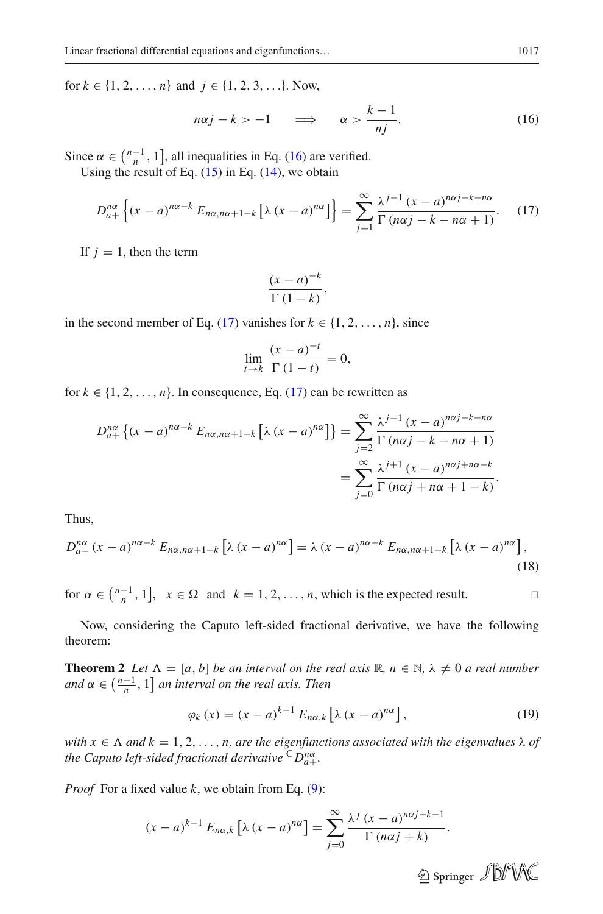<span id="page-5-0"></span>for  $k \in \{1, 2, ..., n\}$  and  $j \in \{1, 2, 3, ...\}$ . Now,

$$
n\alpha j - k > -1 \quad \Longrightarrow \quad \alpha > \frac{k-1}{nj}.
$$
 (16)

<span id="page-5-1"></span>Since  $\alpha \in (\frac{n-1}{n}, 1]$ , all inequalities in Eq. [\(16\)](#page-5-0) are verified.

Using the result of Eq.  $(15)$  in Eq.  $(14)$ , we obtain

$$
D_{a+}^{n\alpha} \left\{ (x-a)^{n\alpha-k} E_{n\alpha,n\alpha+1-k} \left[ \lambda (x-a)^{n\alpha} \right] \right\} = \sum_{j=1}^{\infty} \frac{\lambda^{j-1} (x-a)^{n\alpha j-k-n\alpha}}{\Gamma(n\alpha j-k-n\alpha+1)}.
$$
 (17)

If  $j = 1$ , then the term

$$
\frac{(x-a)^{-k}}{\Gamma(1-k)},
$$

in the second member of Eq. [\(17\)](#page-5-1) vanishes for  $k \in \{1, 2, ..., n\}$ , since

$$
\lim_{t \to k} \frac{(x-a)^{-t}}{\Gamma(1-t)} = 0,
$$

for  $k \in \{1, 2, \ldots, n\}$ . In consequence, Eq. [\(17\)](#page-5-1) can be rewritten as

$$
D_{a+}^{n\alpha} \left\{ (x-a)^{n\alpha-k} E_{n\alpha,n\alpha+1-k} \left[ \lambda (x-a)^{n\alpha} \right] \right\} = \sum_{j=2}^{\infty} \frac{\lambda^{j-1} (x-a)^{n\alpha j-k-n\alpha}}{\Gamma(n\alpha j-k-n\alpha+1)}
$$
  
= 
$$
\sum_{j=0}^{\infty} \frac{\lambda^{j+1} (x-a)^{n\alpha j+n\alpha-k}}{\Gamma(n\alpha j+n\alpha+1-k)}.
$$

Thus,

$$
D_{a+}^{n\alpha}(x-a)^{n\alpha-k} E_{n\alpha,n\alpha+1-k} \left[ \lambda (x-a)^{n\alpha} \right] = \lambda (x-a)^{n\alpha-k} E_{n\alpha,n\alpha+1-k} \left[ \lambda (x-a)^{n\alpha} \right],
$$
\n(18)

for  $\alpha \in \left(\frac{n-1}{n}, 1\right], x \in \Omega$  and  $k = 1, 2, ..., n$ , which is the expected result.  $\Box$ 

<span id="page-5-2"></span>Now, considering the Caputo left-sided fractional derivative, we have the following theorem:

**Theorem 2** *Let*  $\Lambda = [a, b]$  *be an interval on the real axis*  $\mathbb{R}, n \in \mathbb{N}, \lambda \neq 0$  *a real number*  $and \alpha \in \left(\frac{n-1}{n}, 1\right]$  *an interval on the real axis. Then* 

$$
\varphi_k(x) = (x - a)^{k-1} E_{n\alpha,k} \left[ \lambda (x - a)^{n\alpha} \right],\tag{19}
$$

*with*  $x \in \Lambda$  *and*  $k = 1, 2, ..., n$ , *are the eigenfunctions associated with the eigenvalues*  $\lambda$  *of the Caputo left-sided fractional derivative* <sup>C</sup>*Dn*<sup>α</sup> *a*+*.*

*Proof* For a fixed value *k*, we obtain from Eq. [\(9\)](#page-3-2):

$$
(x-a)^{k-1} E_{n\alpha,k} \left[ \lambda (x-a)^{n\alpha} \right] = \sum_{j=0}^{\infty} \frac{\lambda^j (x-a)^{n\alpha j+k-1}}{\Gamma (n\alpha j+k)}.
$$

2 Springer JDM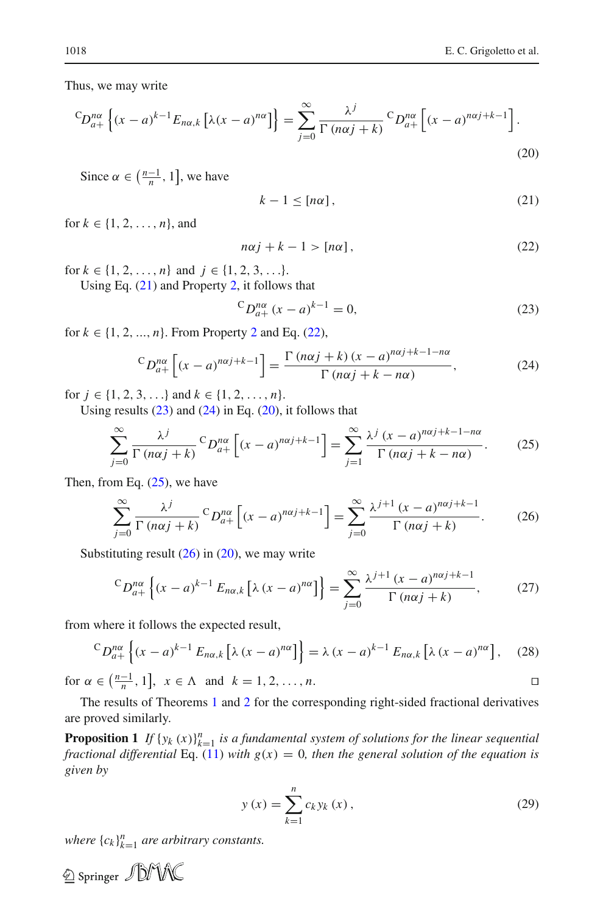$\Box$ 

<span id="page-6-4"></span>Thus, we may write

$$
{}^{C}D_{a+}^{n\alpha}\left\{(x-a)^{k-1}E_{n\alpha,k}\left[\lambda(x-a)^{n\alpha}\right]\right\} = \sum_{j=0}^{\infty} \frac{\lambda^j}{\Gamma(n\alpha j+k)} {}^{C}D_{a+}^{n\alpha}\left[(x-a)^{n\alpha j+k-1}\right].
$$
\n(20)

<span id="page-6-0"></span>Since  $\alpha \in \left(\frac{n-1}{n}, 1\right]$ , we have

$$
k - 1 \leq [n\alpha],\tag{21}
$$

for  $k \in \{1, 2, ..., n\}$ , and

$$
n\alpha j + k - 1 > [n\alpha],\tag{22}
$$

for  $k \in \{1, 2, ..., n\}$  and  $j \in \{1, 2, 3, ...\}$ .

<span id="page-6-1"></span>Using Eq. [\(21\)](#page-6-0) and Property [2,](#page-3-5) it follows that

$$
{}^{C}D_{a+}^{n\alpha}(x-a)^{k-1} = 0,
$$
\n(23)

for  $k \in \{1, 2, ..., n\}$  $k \in \{1, 2, ..., n\}$  $k \in \{1, 2, ..., n\}$ . From Property 2 and Eq. [\(22\)](#page-6-1),

<span id="page-6-2"></span>
$$
{}^{C}D_{a+}^{n\alpha}\left[(x-a)^{n\alpha j+k-1}\right] = \frac{\Gamma\left(n\alpha j+k\right)(x-a)^{n\alpha j+k-1-n\alpha}}{\Gamma\left(n\alpha j+k-n\alpha\right)},\tag{24}
$$

<span id="page-6-3"></span>for  $j \in \{1, 2, 3, \ldots\}$  and  $k \in \{1, 2, \ldots, n\}$ .

Using results  $(23)$  and  $(24)$  in Eq.  $(20)$ , it follows that

$$
\sum_{j=0}^{\infty} \frac{\lambda^j}{\Gamma(n\alpha j + k)}^C D_{a+}^{n\alpha} \left[ (x - a)^{n\alpha j + k - 1} \right] = \sum_{j=1}^{\infty} \frac{\lambda^j (x - a)^{n\alpha j + k - 1 - n\alpha}}{\Gamma(n\alpha j + k - n\alpha)}.
$$
 (25)

<span id="page-6-6"></span><span id="page-6-5"></span>Then, from Eq.  $(25)$ , we have

$$
\sum_{j=0}^{\infty} \frac{\lambda^j}{\Gamma(n\alpha j + k)}^C D_{a+}^{n\alpha} \left[ (x - a)^{n\alpha j + k - 1} \right] = \sum_{j=0}^{\infty} \frac{\lambda^{j+1} (x - a)^{n\alpha j + k - 1}}{\Gamma(n\alpha j + k)}.
$$
 (26)

Substituting result  $(26)$  in  $(20)$ , we may write

$$
{}^{C}D_{a+}^{n\alpha}\left\{(x-a)^{k-1}E_{n\alpha,k}\left[\lambda\left(x-a\right)^{n\alpha}\right]\right\} = \sum_{j=0}^{\infty} \frac{\lambda^{j+1}\left(x-a\right)^{n\alpha j+k-1}}{\Gamma\left(n\alpha j+k\right)},\tag{27}
$$

from where it follows the expected result,

$$
{}^{C}D_{a+}^{n\alpha}\left\{(x-a)^{k-1}E_{n\alpha,k}\left[\lambda\left(x-a\right)^{n\alpha}\right]\right\}=\lambda\left(x-a\right)^{k-1}E_{n\alpha,k}\left[\lambda\left(x-a\right)^{n\alpha}\right],\quad(28)
$$

for  $\alpha \in \left(\frac{n-1}{n}, 1\right], x \in \Lambda \text{ and } k = 1, 2, ..., n.$ 

<span id="page-6-7"></span>The results of Theorems [1](#page-4-5) and [2](#page-5-2) for the corresponding right-sided fractional derivatives are proved similarly.

**Proposition 1** *If*  $\{y_k(x)\}_{k=1}^n$  *is a fundamental system of solutions for the linear sequential fractional differential* Eq. [\(11\)](#page-4-1) *with*  $g(x) = 0$ *, then the general solution of the equation is given by*

$$
y(x) = \sum_{k=1}^{n} c_k y_k(x),
$$
 (29)

where  ${c_k}_{k=1}^n$  *are arbitrary constants.* 

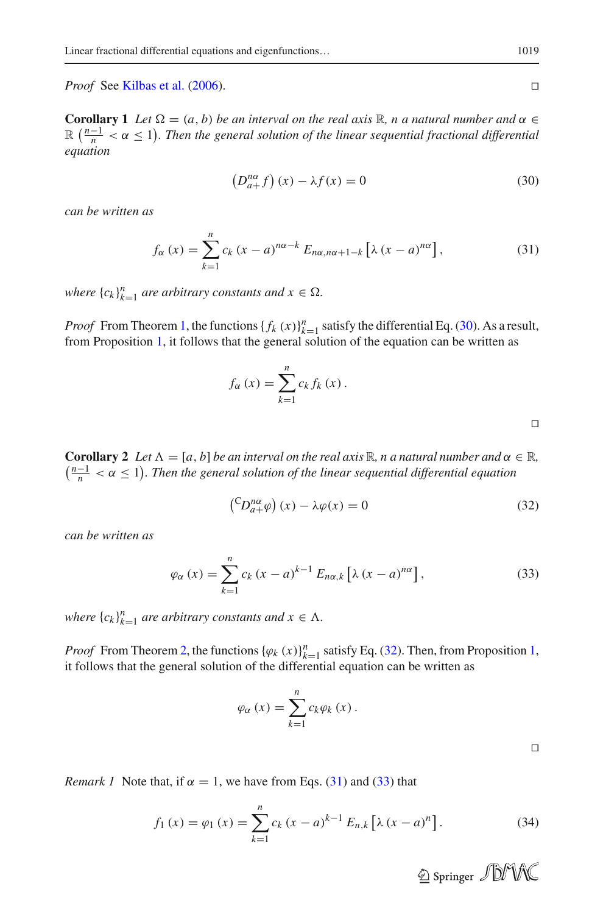*Proof* See [Kilbas et al.](#page-13-20) [\(2006](#page-13-20)).

<span id="page-7-4"></span>**Corollary 1** *Let*  $\Omega = (a, b)$  *be an interval on the real axis*  $\mathbb{R}$ *, n a natural number and*  $\alpha \in$  $\mathbb{R}$   $\left(\frac{n-1}{n} < \alpha \leq 1\right)$ . Then the general solution of the linear sequential fractional differential *equation*

$$
\left(D_{a+}^{n\alpha}f\right)(x) - \lambda f(x) = 0\tag{30}
$$

<span id="page-7-2"></span>*can be written as*

<span id="page-7-0"></span>
$$
f_{\alpha}(x) = \sum_{k=1}^{n} c_k (x - a)^{n\alpha - k} E_{n\alpha, n\alpha + 1 - k} \left[ \lambda (x - a)^{n\alpha} \right],
$$
 (31)

*where*  ${c_k}_{k=1}^n$  *are arbitrary constants and*  $x \in \Omega$ .

*Proof* From Theorem [1,](#page-4-5) the functions  $\{f_k(x)\}_{k=1}^n$  satisfy the differential Eq. [\(30\)](#page-7-0). As a result, from Proposition [1,](#page-6-7) it follows that the general solution of the equation can be written as

$$
f_{\alpha}(x) = \sum_{k=1}^{n} c_k f_k(x).
$$

Ч

<span id="page-7-5"></span>**Corollary 2** Let  $\Lambda = [a, b]$  be an interval on the real axis  $\mathbb{R}$ , n a natural number and  $\alpha \in \mathbb{R}$ ,  $\left(\frac{n-1}{n} < \alpha \le 1\right)$ . Then the general solution of the linear sequential differential equation

$$
\left(\begin{matrix}CD_{a+}^{n\alpha}\varphi\end{matrix}\right)(x) - \lambda\varphi(x) = 0\tag{32}
$$

<span id="page-7-3"></span>*can be written as*

<span id="page-7-1"></span>
$$
\varphi_{\alpha}\left(x\right) = \sum_{k=1}^{n} c_k \left(x - a\right)^{k-1} E_{n\alpha,k} \left[\lambda \left(x - a\right)^{n\alpha}\right],\tag{33}
$$

*where*  ${c_k}_{k=1}^n$  *are arbitrary constants and*  $x \in \Lambda$ .

*Proof* From Theorem [2,](#page-5-2) the functions  $\{\varphi_k(x)\}_{k=1}^n$  satisfy Eq. [\(32\)](#page-7-1). Then, from Proposition [1,](#page-6-7) it follows that the general solution of the differential equation can be written as

$$
\varphi_{\alpha}\left(x\right) = \sum_{k=1}^{n} c_k \varphi_k\left(x\right).
$$

Ц

*Remark 1* Note that, if  $\alpha = 1$ , we have from Eqs. [\(31\)](#page-7-2) and [\(33\)](#page-7-3) that

$$
f_1(x) = \varphi_1(x) = \sum_{k=1}^n c_k (x - a)^{k-1} E_{n,k} [\lambda (x - a)^n].
$$
 (34)

 $\Box$ 

2 Springer JDMX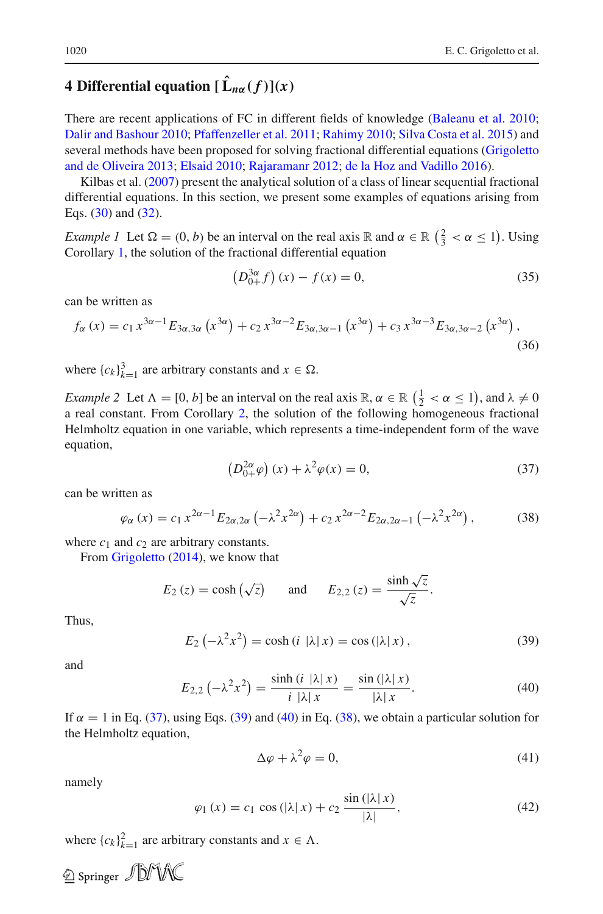# <span id="page-8-0"></span>**4 Differential equation**  $[\hat{\mathbf{L}}_{n\alpha}(f)](x)$

There are recent applications of FC in different fields of knowledge [\(Baleanu et al. 2010](#page-12-13); [Dalir and Bashour 2010;](#page-12-14) [Pfaffenzeller et al. 2011;](#page-13-26) [Rahimy 2010](#page-13-27); [Silva Costa et al. 2015](#page-13-28)) and several method[s](#page-13-29) [have](#page-13-29) [been](#page-13-29) [proposed](#page-13-29) [for](#page-13-29) [solving](#page-13-29) [fractional](#page-13-29) [differential](#page-13-29) [equations](#page-13-29) [\(](#page-13-29)Grigoletto and de Oliveira [2013](#page-13-29); [Elsaid 2010](#page-13-30); [Rajaramanr 2012;](#page-13-31) [de la Hoz and Vadillo 2016](#page-12-15)).

Kilbas et al. [\(2007](#page-13-21)) present the analytical solution of a class of linear sequential fractional differential equations. In this section, we present some examples of equations arising from Eqs. [\(30\)](#page-7-0) and [\(32\)](#page-7-1).

*Example 1* Let  $\Omega = (0, b)$  be an interval on the real axis R and  $\alpha \in \mathbb{R}$   $\left(\frac{2}{3} < \alpha \le 1\right)$ . Using Corollary [1,](#page-7-4) the solution of the fractional differential equation

$$
\left(D_{0+}^{3\alpha}f\right)(x) - f(x) = 0,\tag{35}
$$

can be written as

$$
f_{\alpha}(x) = c_1 x^{3\alpha - 1} E_{3\alpha, 3\alpha} (x^{3\alpha}) + c_2 x^{3\alpha - 2} E_{3\alpha, 3\alpha - 1} (x^{3\alpha}) + c_3 x^{3\alpha - 3} E_{3\alpha, 3\alpha - 2} (x^{3\alpha}),
$$
\n(36)

<span id="page-8-5"></span>where  ${c_k}_{k=1}^3$  are arbitrary constants and  $x \in \Omega$ .

*Example 2* Let  $\Lambda = [0, b]$  be an interval on the real axis  $\mathbb{R}, \alpha \in \mathbb{R}$   $(\frac{1}{2} < \alpha \le 1)$ , and  $\lambda \ne 0$ a real constant. From Corollary [2,](#page-7-5) the solution of the following homogeneous fractional Helmholtz equation in one variable, which represents a time-independent form of the wave equation,

$$
\left(D_{0+}^{2\alpha}\varphi\right)(x) + \lambda^2\varphi(x) = 0,\tag{37}
$$

<span id="page-8-4"></span>can be written as

<span id="page-8-1"></span>
$$
\varphi_{\alpha}(x) = c_1 x^{2\alpha - 1} E_{2\alpha, 2\alpha} \left( -\lambda^2 x^{2\alpha} \right) + c_2 x^{2\alpha - 2} E_{2\alpha, 2\alpha - 1} \left( -\lambda^2 x^{2\alpha} \right), \tag{38}
$$

where  $c_1$  and  $c_2$  are arbitrary constants.

From [Grigoletto](#page-13-24) [\(2014\)](#page-13-24), we know that

$$
E_2(z) = \cosh(\sqrt{z})
$$
 and  $E_{2,2}(z) = \frac{\sinh\sqrt{z}}{\sqrt{z}}$ .

<span id="page-8-2"></span>Thus,

$$
E_2\left(-\lambda^2 x^2\right) = \cosh\left(i\left|\lambda\right|x\right) = \cos\left(\left|\lambda\right|x\right),\tag{39}
$$

<span id="page-8-3"></span>and

$$
E_{2,2}\left(-\lambda^2 x^2\right) = \frac{\sinh\left(i\left|\lambda\right|x\right)}{i\left|\lambda\right|x} = \frac{\sin\left(\left|\lambda\right|x\right)}{\left|\lambda\right|x}.\tag{40}
$$

If  $\alpha = 1$  in Eq. [\(37\)](#page-8-1), using Eqs. [\(39\)](#page-8-2) and [\(40\)](#page-8-3) in Eq. [\(38\)](#page-8-4), we obtain a particular solution for the Helmholtz equation,

$$
\Delta \varphi + \lambda^2 \varphi = 0,\tag{41}
$$

namely

2 Springer JDMAC

$$
\varphi_1(x) = c_1 \cos(|\lambda| x) + c_2 \frac{\sin(|\lambda| x)}{|\lambda|},\tag{42}
$$

where  ${c_k}_{k=1}^2$  are arbitrary constants and  $x \in \Lambda$ .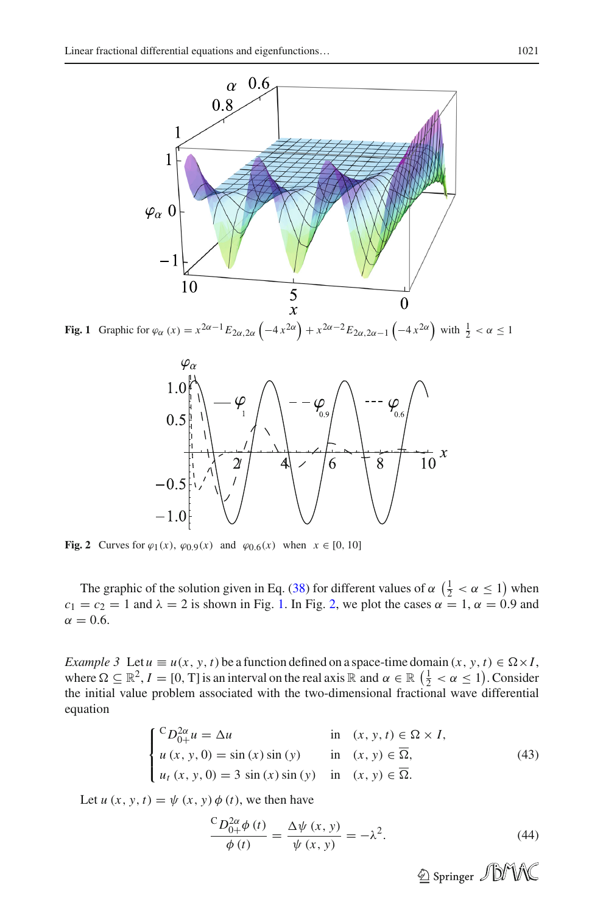

<span id="page-9-0"></span>Fig. 1 Graphic for  $\varphi_{\alpha}(x) = x^{2\alpha - 1} E_{2\alpha, 2\alpha} \left( -4x^{2\alpha} \right) + x^{2\alpha - 2} E_{2\alpha, 2\alpha - 1} \left( -4x^{2\alpha} \right)$  with  $\frac{1}{2} < \alpha \le 1$ 



<span id="page-9-1"></span>**Fig. 2** Curves for  $\varphi_1(x)$ ,  $\varphi_{0.9}(x)$  and  $\varphi_{0.6}(x)$  when  $x \in [0, 10]$ 

The graphic of the solution given in Eq. [\(38\)](#page-8-4) for different values of  $\alpha$   $(\frac{1}{2} < \alpha \le 1)$  when  $c_1 = c_2 = 1$  and  $\lambda = 2$  is shown in Fig. [1.](#page-9-0) In Fig. [2,](#page-9-1) we plot the cases  $\alpha = 1$ ,  $\alpha = 0.9$  and  $\alpha = 0.6$ .

*Example 3* Let  $u \equiv u(x, y, t)$  be a function defined on a space-time domain  $(x, y, t) \in \Omega \times I$ , where  $\Omega \subseteq \mathbb{R}^2$ ,  $I = [0, T]$  is an interval on the real axis  $\mathbb{R}$  and  $\alpha \in \mathbb{R}$   $(\frac{1}{2} < \alpha \le 1)$ . Consider the initial value problem associated with the two-dimensional fractional wave differential equation

$$
\begin{cases}\n\text{C}D_{0+}^{2\alpha}u = \Delta u & \text{in } (x, y, t) \in \Omega \times I, \\
u(x, y, 0) = \sin(x)\sin(y) & \text{in } (x, y) \in \overline{\Omega}, \\
u_t(x, y, 0) = 3\sin(x)\sin(y) & \text{in } (x, y) \in \overline{\Omega}.\n\end{cases}
$$
\n(43)

<span id="page-9-2"></span>Let  $u(x, y, t) = \psi(x, y) \phi(t)$ , we then have

$$
\frac{C D_{0+}^{2\alpha} \phi(t)}{\phi(t)} = \frac{\Delta \psi(x, y)}{\psi(x, y)} = -\lambda^2.
$$
\n(44)

<sup>2</sup> Springer JDMC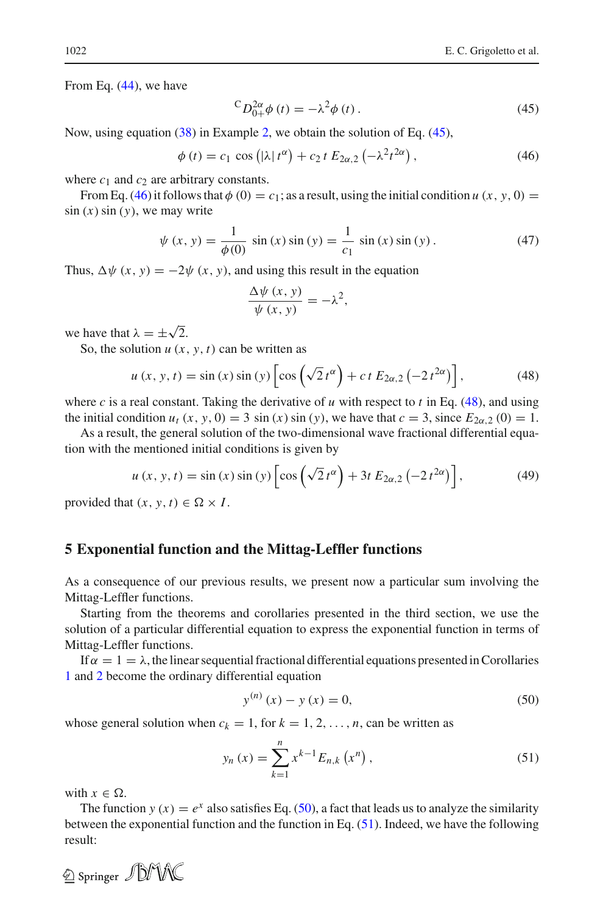From Eq. [\(44\)](#page-9-2), we have

$$
{}^{C}D_{0+}^{2\alpha}\phi(t) = -\lambda^2\phi(t). \tag{45}
$$

<span id="page-10-2"></span>Now, using equation [\(38\)](#page-8-4) in Example [2,](#page-8-5) we obtain the solution of Eq. [\(45\)](#page-10-1),

<span id="page-10-1"></span>
$$
\phi(t) = c_1 \cos \left( |\lambda| t^{\alpha} \right) + c_2 t E_{2\alpha,2} \left( -\lambda^2 t^{2\alpha} \right),\tag{46}
$$

where  $c_1$  and  $c_2$  are arbitrary constants.

From Eq. [\(46\)](#page-10-2) it follows that  $\phi$  (0) = *c*<sub>1</sub>; as a result, using the initial condition *u* (*x*, *y*, 0) =  $sin(x) sin(y)$ , we may write

$$
\psi(x, y) = \frac{1}{\phi(0)} \sin(x) \sin(y) = \frac{1}{c_1} \sin(x) \sin(y).
$$
 (47)

Thus,  $\Delta \psi$  (*x*, *y*) =  $-2\psi$  (*x*, *y*), and using this result in the equation

$$
\frac{\Delta \psi(x, y)}{\psi(x, y)} = -\lambda^2,
$$

we have that  $\lambda = \pm \sqrt{2}$ .

So, the solution  $u(x, y, t)$  can be written as

$$
u(x, y, t) = \sin(x)\sin(y)\left[\cos\left(\sqrt{2}\,t^{\alpha}\right) + c\,t\,E_{2\alpha,2}\left(-2\,t^{2\alpha}\right)\right],\tag{48}
$$

<span id="page-10-3"></span>where *c* is a real constant. Taking the derivative of *u* with respect to *t* in Eq. [\(48\)](#page-10-3), and using the initial condition  $u_t$  (*x*, *y*, 0) = 3 sin (*x*) sin (*y*), we have that  $c = 3$ , since  $E_{2\alpha,2}$  (0) = 1.

As a result, the general solution of the two-dimensional wave fractional differential equation with the mentioned initial conditions is given by

$$
u(x, y, t) = \sin(x)\sin(y)\left[\cos\left(\sqrt{2}\,t^{\alpha}\right) + 3t\,E_{2\alpha,2}\left(-2\,t^{2\alpha}\right)\right],\tag{49}
$$

provided that  $(x, y, t) \in \Omega \times I$ .

## <span id="page-10-0"></span>**5 Exponential function and the Mittag-Leffler functions**

As a consequence of our previous results, we present now a particular sum involving the Mittag-Leffler functions.

Starting from the theorems and corollaries presented in the third section, we use the solution of a particular differential equation to express the exponential function in terms of Mittag-Leffler functions.

If  $\alpha = 1 = \lambda$ , the linear sequential fractional differential equations presented in Corollaries [1](#page-7-4) and [2](#page-7-5) become the ordinary differential equation

$$
y^{(n)}(x) - y(x) = 0,
$$
\n(50)

<span id="page-10-5"></span><span id="page-10-4"></span>whose general solution when  $c_k = 1$ , for  $k = 1, 2, ..., n$ , can be written as

$$
y_n(x) = \sum_{k=1}^n x^{k-1} E_{n,k}(x^n),
$$
\n(51)

with  $x \in \Omega$ .

The function  $y(x) = e^x$  also satisfies Eq. [\(50\)](#page-10-4), a fact that leads us to analyze the similarity between the exponential function and the function in Eq. [\(51\)](#page-10-5). Indeed, we have the following result:

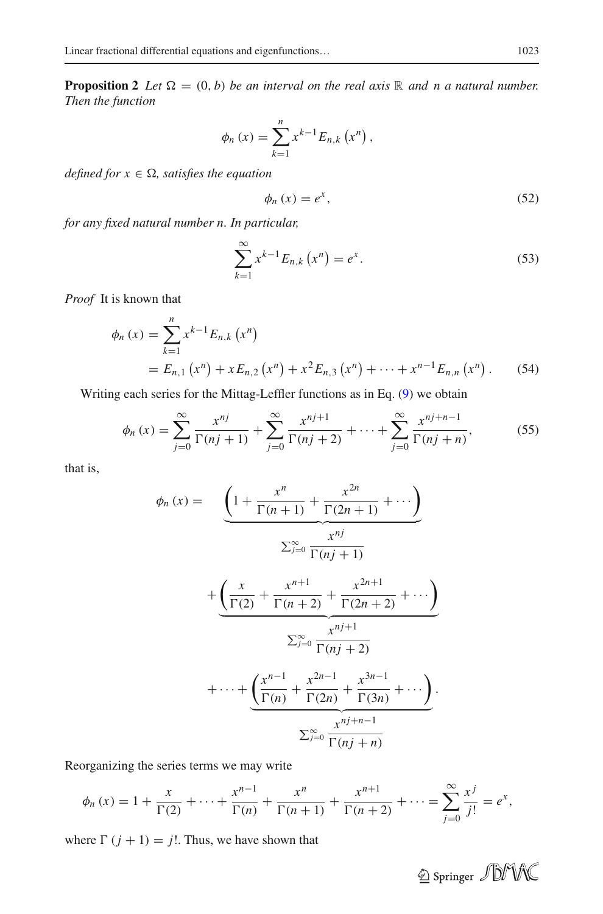**Proposition 2** *Let*  $\Omega = (0, b)$  *be an interval on the real axis*  $\mathbb R$  *and n a natural number. Then the function*

$$
\phi_n(x) = \sum_{k=1}^n x^{k-1} E_{n,k}(x^n),
$$

*defined for*  $x \in \Omega$ *, satisfies the equation* 

$$
\phi_n(x) = e^x,\tag{52}
$$

*for any fixed natural number n. In particular,*

$$
\sum_{k=1}^{\infty} x^{k-1} E_{n,k} (x^n) = e^x.
$$
 (53)

*Proof* It is known that

$$
\phi_n(x) = \sum_{k=1}^n x^{k-1} E_{n,k}(x^n)
$$
  
=  $E_{n,1}(x^n) + x E_{n,2}(x^n) + x^2 E_{n,3}(x^n) + \dots + x^{n-1} E_{n,n}(x^n)$ . (54)

Writing each series for the Mittag-Leffler functions as in Eq. [\(9\)](#page-3-2) we obtain

$$
\phi_n(x) = \sum_{j=0}^{\infty} \frac{x^{nj}}{\Gamma(nj+1)} + \sum_{j=0}^{\infty} \frac{x^{nj+1}}{\Gamma(nj+2)} + \dots + \sum_{j=0}^{\infty} \frac{x^{nj+n-1}}{\Gamma(nj+n)},
$$
(55)

that is,

$$
\phi_n(x) = \underbrace{\left(1 + \frac{x^n}{\Gamma(n+1)} + \frac{x^{2n}}{\Gamma(2n+1)} + \cdots \right)}_{\sum_{j=0}^{\infty} \frac{x^{nj}}{\Gamma(nj+1)}} + \underbrace{\left(\frac{x}{\Gamma(2)} + \frac{x^{n+1}}{\Gamma(n+2)} + \frac{x^{2n+1}}{\Gamma(2n+2)} + \cdots \right)}_{\sum_{j=0}^{\infty} \frac{x^{nj+1}}{\Gamma(nj+2)}} + \cdots + \underbrace{\left(\frac{x^{n-1}}{\Gamma(n)} + \frac{x^{2n-1}}{\Gamma(2n)} + \frac{x^{3n-1}}{\Gamma(3n)} + \cdots \right)}_{\sum_{j=0}^{\infty} \frac{x^{nj+n-1}}{\Gamma(nj+n)}}.
$$

Reorganizing the series terms we may write

$$
\phi_n(x) = 1 + \frac{x}{\Gamma(2)} + \dots + \frac{x^{n-1}}{\Gamma(n)} + \frac{x^n}{\Gamma(n+1)} + \frac{x^{n+1}}{\Gamma(n+2)} + \dots = \sum_{j=0}^{\infty} \frac{x^j}{j!} = e^x,
$$

where  $\Gamma(j + 1) = j!$ . Thus, we have shown that

 $\circledcirc$  Springer  $\mathcal{D}$ MK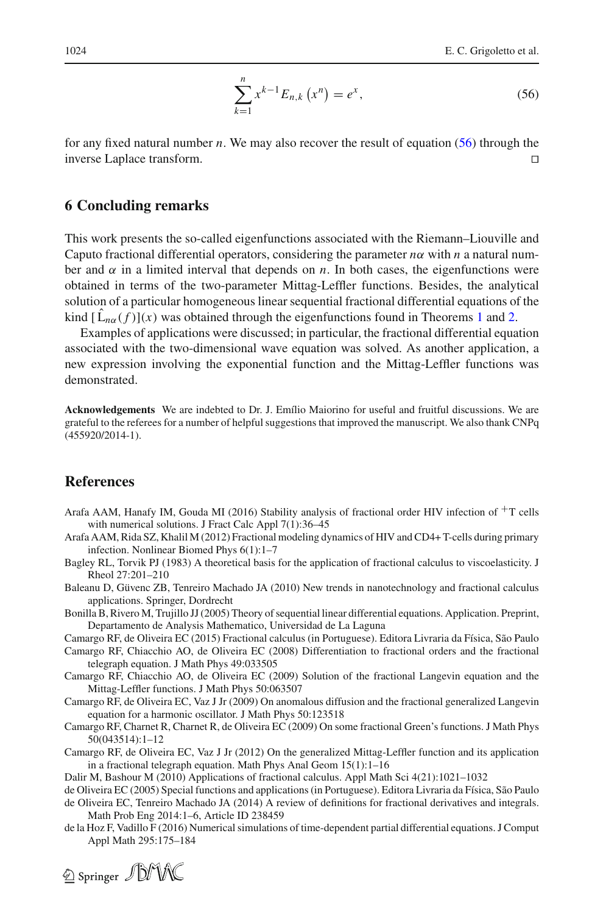$$
\sum_{k=1}^{n} x^{k-1} E_{n,k} (x^n) = e^x,
$$
\n(56)

<span id="page-12-16"></span>for any fixed natural number *n*. We may also recover the result of equation [\(56\)](#page-12-16) through the inverse Laplace transform.  $\Box$ 

### <span id="page-12-11"></span>**6 Concluding remarks**

This work presents the so-called eigenfunctions associated with the Riemann–Liouville and Caputo fractional differential operators, considering the parameter  $n\alpha$  with  $n$  a natural number and  $\alpha$  in a limited interval that depends on *n*. In both cases, the eigenfunctions were obtained in terms of the two-parameter Mittag-Leffler functions. Besides, the analytical solution of a particular homogeneous linear sequential fractional differential equations of the kind  $[\hat{L}_{n\alpha}(f)](x)$  was obtained through the eigenfunctions found in Theorems [1](#page-4-5) and [2.](#page-5-2)

Examples of applications were discussed; in particular, the fractional differential equation associated with the two-dimensional wave equation was solved. As another application, a new expression involving the exponential function and the Mittag-Leffler functions was demonstrated.

**Acknowledgements** We are indebted to Dr. J. Emílio Maiorino for useful and fruitful discussions. We are grateful to the referees for a number of helpful suggestions that improved the manuscript. We also thank CNPq (455920/2014-1).

### **References**

- <span id="page-12-1"></span>Arafa AAM, Hanafy IM, Gouda MI (2016) Stability analysis of fractional order HIV infection of  $+T$  cells with numerical solutions. J Fract Calc Appl 7(1):36–45
- <span id="page-12-5"></span>Arafa AAM, Rida SZ, Khalil M (2012) Fractional modeling dynamics of HIV and CD4+ T-cells during primary infection. Nonlinear Biomed Phys 6(1):1–7
- <span id="page-12-0"></span>Bagley RL, Torvik PJ (1983) A theoretical basis for the application of fractional calculus to viscoelasticity. J Rheol 27:201–210
- <span id="page-12-13"></span>Baleanu D, Güvenc ZB, Tenreiro Machado JA (2010) New trends in nanotechnology and fractional calculus applications. Springer, Dordrecht
- <span id="page-12-10"></span>Bonilla B, Rivero M, Trujillo JJ (2005) Theory of sequential linear differential equations. Application. Preprint, Departamento de Analysis Mathematico, Universidad de La Laguna
- <span id="page-12-4"></span>Camargo RF, de Oliveira EC (2015) Fractional calculus (in Portuguese). Editora Livraria da Física, São Paulo Camargo RF, Chiacchio AO, de Oliveira EC (2008) Differentiation to fractional orders and the fractional
- <span id="page-12-7"></span><span id="page-12-6"></span>telegraph equation. J Math Phys 49:033505 Camargo RF, Chiacchio AO, de Oliveira EC (2009) Solution of the fractional Langevin equation and the Mittag-Leffler functions. J Math Phys 50:063507
- <span id="page-12-8"></span>Camargo RF, de Oliveira EC, Vaz J Jr (2009) On anomalous diffusion and the fractional generalized Langevin equation for a harmonic oscillator. J Math Phys 50:123518
- <span id="page-12-2"></span>Camargo RF, Charnet R, Charnet R, de Oliveira EC (2009) On some fractional Green's functions. J Math Phys 50(043514):1–12
- <span id="page-12-3"></span>Camargo RF, de Oliveira EC, Vaz J Jr (2012) On the generalized Mittag-Leffler function and its application in a fractional telegraph equation. Math Phys Anal Geom 15(1):1–16
- Dalir M, Bashour M (2010) Applications of fractional calculus. Appl Math Sci 4(21):1021–1032
- <span id="page-12-14"></span><span id="page-12-12"></span><span id="page-12-9"></span>de Oliveira EC (2005) Special functions and applications (in Portuguese). Editora Livraria da Física, São Paulo de Oliveira EC, Tenreiro Machado JA (2014) A review of definitions for fractional derivatives and integrals. Math Prob Eng 2014:1–6, Article ID 238459
- de la Hoz F, Vadillo F (2016) Numerical simulations of time-dependent partial differential equations. J Comput Appl Math 295:175–184

<span id="page-12-15"></span>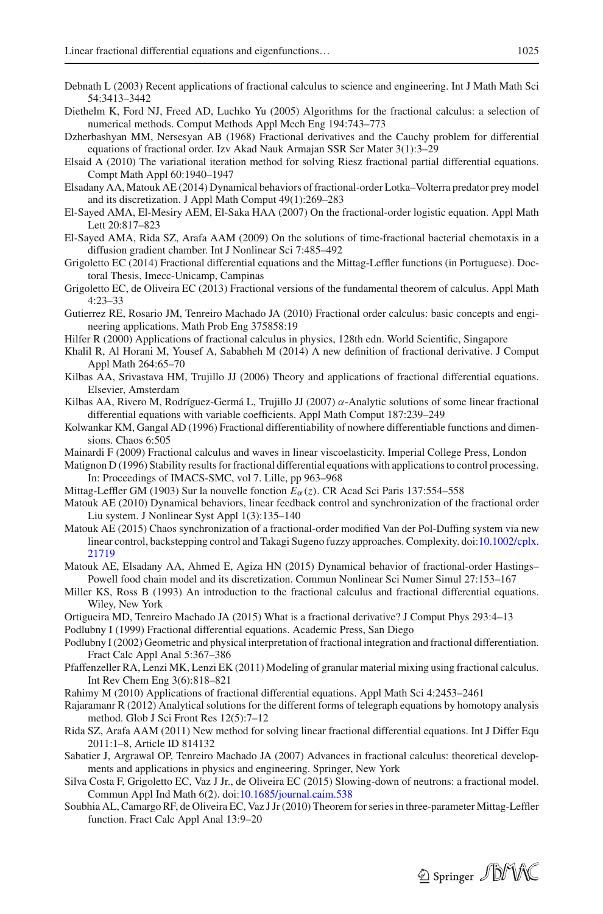- <span id="page-13-0"></span>Debnath L (2003) Recent applications of fractional calculus to science and engineering. Int J Math Math Sci 54:3413–3442
- <span id="page-13-6"></span>Diethelm K, Ford NJ, Freed AD, Luchko Yu (2005) Algorithms for the fractional calculus: a selection of numerical methods. Comput Methods Appl Mech Eng 194:743–773
- <span id="page-13-19"></span>Dzherbashyan MM, Nersesyan AB (1968) Fractional derivatives and the Cauchy problem for differential equations of fractional order. Izv Akad Nauk Armajan SSR Ser Mater 3(1):3–29
- <span id="page-13-30"></span>Elsaid A (2010) The variational iteration method for solving Riesz fractional partial differential equations. Compt Math Appl 60:1940–1947
- <span id="page-13-7"></span>Elsadany AA, Matouk AE (2014) Dynamical behaviors of fractional-order Lotka–Volterra predator prey model and its discretization. J Appl Math Comput 49(1):269–283
- <span id="page-13-10"></span>El-Sayed AMA, El-Mesiry AEM, El-Saka HAA (2007) On the fractional-order logistic equation. Appl Math Lett 20:817–823
- <span id="page-13-9"></span>El-Sayed AMA, Rida SZ, Arafa AAM (2009) On the solutions of time-fractional bacterial chemotaxis in a diffusion gradient chamber. Int J Nonlinear Sci 7:485–492
- <span id="page-13-24"></span>Grigoletto EC (2014) Fractional differential equations and the Mittag-Leffler functions (in Portuguese). Doctoral Thesis, Imecc-Unicamp, Campinas
- <span id="page-13-29"></span>Grigoletto EC, de Oliveira EC (2013) Fractional versions of the fundamental theorem of calculus. Appl Math 4:23–33
- <span id="page-13-11"></span>Gutierrez RE, Rosario JM, Tenreiro Machado JA (2010) Fractional order calculus: basic concepts and engineering applications. Math Prob Eng 375858:19
- <span id="page-13-16"></span>Hilfer R (2000) Applications of fractional calculus in physics, 128th edn. World Scientific, Singapore
- <span id="page-13-17"></span>Khalil R, Al Horani M, Yousef A, Sababheh M (2014) A new definition of fractional derivative. J Comput Appl Math 264:65–70
- <span id="page-13-20"></span>Kilbas AA, Srivastava HM, Trujillo JJ (2006) Theory and applications of fractional differential equations. Elsevier, Amsterdam
- <span id="page-13-21"></span>Kilbas AA, Rivero M, Rodríguez-Germá L, Trujillo JJ (2007)  $\alpha$ -Analytic solutions of some linear fractional differential equations with variable coefficients. Appl Math Comput 187:239–249
- <span id="page-13-18"></span>Kolwankar KM, Gangal AD (1996) Fractional differentiability of nowhere differentiable functions and dimensions. Chaos 6:505
- <span id="page-13-1"></span>Mainardi F (2009) Fractional calculus and waves in linear viscoelasticity. Imperial College Press, London
- <span id="page-13-13"></span>Matignon D (1996) Stability results for fractional differential equations with applications to control processing. In: Proceedings of IMACS-SMC, vol 7. Lille, pp 963–968
- <span id="page-13-25"></span>Mittag-Leffler GM (1903) Sur la nouvelle fonction *E*α(*z*). CR Acad Sci Paris 137:554–558
- <span id="page-13-14"></span>Matouk AE (2010) Dynamical behaviors, linear feedback control and synchronization of the fractional order Liu system. J Nonlinear Syst Appl 1(3):135–140
- <span id="page-13-15"></span>Matouk AE (2015) Chaos synchronization of a fractional-order modified Van der Pol-Duffing system via new linear control, backstepping control and Takagi Sugeno fuzzy approaches. Complexity. doi[:10.1002/cplx.](http://dx.doi.org/10.1002/cplx.21719) [21719](http://dx.doi.org/10.1002/cplx.21719)
- <span id="page-13-8"></span>Matouk AE, Elsadany AA, Ahmed E, Agiza HN (2015) Dynamical behavior of fractional-order Hastings– Powell food chain model and its discretization. Commun Nonlinear Sci Numer Simul 27:153–167
- <span id="page-13-22"></span>Miller KS, Ross B (1993) An introduction to the fractional calculus and fractional differential equations. Wiley, New York
- <span id="page-13-2"></span>Ortigueira MD, Tenreiro Machado JA (2015) What is a fractional derivative? J Comput Phys 293:4–13
- <span id="page-13-3"></span>Podlubny I (1999) Fractional differential equations. Academic Press, San Diego
- <span id="page-13-5"></span>Podlubny I (2002) Geometric and physical interpretation of fractional integration and fractional differentiation. Fract Calc Appl Anal 5:367–386
- <span id="page-13-26"></span>Pfaffenzeller RA, Lenzi MK, Lenzi EK (2011) Modeling of granular material mixing using fractional calculus. Int Rev Chem Eng 3(6):818–821
- <span id="page-13-27"></span>Rahimy M (2010) Applications of fractional differential equations. Appl Math Sci 4:2453–2461
- <span id="page-13-31"></span>Rajaramanr R (2012) Analytical solutions for the different forms of telegraph equations by homotopy analysis method. Glob J Sci Front Res 12(5):7–12
- <span id="page-13-23"></span>Rida SZ, Arafa AAM (2011) New method for solving linear fractional differential equations. Int J Differ Equ 2011:1–8, Article ID 814132
- <span id="page-13-12"></span>Sabatier J, Argrawal OP, Tenreiro Machado JA (2007) Advances in fractional calculus: theoretical developments and applications in physics and engineering. Springer, New York
- <span id="page-13-28"></span>Silva Costa F, Grigoletto EC, Vaz J Jr., de Oliveira EC (2015) Slowing-down of neutrons: a fractional model. Commun Appl Ind Math 6(2). doi[:10.1685/journal.caim.538](http://dx.doi.org/10.1685/journal.caim.538)
- <span id="page-13-4"></span>Soubhia AL, Camargo RF, de Oliveira EC, Vaz J Jr (2010) Theorem for series in three-parameter Mittag-Leffler function. Fract Calc Appl Anal 13:9–20